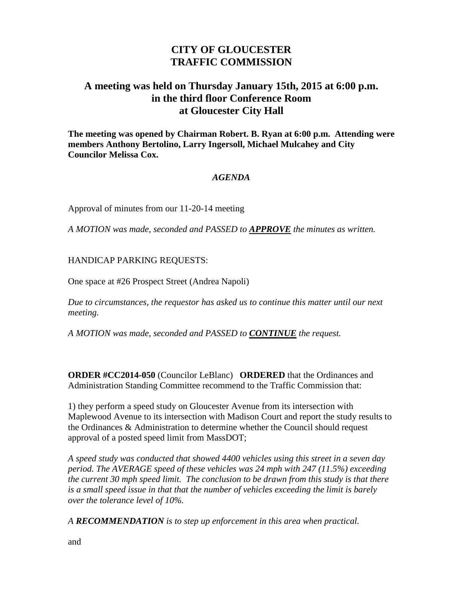## **CITY OF GLOUCESTER TRAFFIC COMMISSION**

## **A meeting was held on Thursday January 15th, 2015 at 6:00 p.m. in the third floor Conference Room at Gloucester City Hall**

**The meeting was opened by Chairman Robert. B. Ryan at 6:00 p.m. Attending were members Anthony Bertolino, Larry Ingersoll, Michael Mulcahey and City Councilor Melissa Cox.**

## *AGENDA*

Approval of minutes from our 11-20-14 meeting

*A MOTION was made, seconded and PASSED to APPROVE the minutes as written.*

## HANDICAP PARKING REQUESTS:

One space at #26 Prospect Street (Andrea Napoli)

*Due to circumstances, the requestor has asked us to continue this matter until our next meeting.*

*A MOTION was made, seconded and PASSED to CONTINUE the request.*

**ORDER #CC2014-050** (Councilor LeBlanc) **ORDERED** that the Ordinances and Administration Standing Committee recommend to the Traffic Commission that:

1) they perform a speed study on Gloucester Avenue from its intersection with Maplewood Avenue to its intersection with Madison Court and report the study results to the Ordinances & Administration to determine whether the Council should request approval of a posted speed limit from MassDOT;

*A speed study was conducted that showed 4400 vehicles using this street in a seven day period. The AVERAGE speed of these vehicles was 24 mph with 247 (11.5%) exceeding the current 30 mph speed limit. The conclusion to be drawn from this study is that there is a small speed issue in that that the number of vehicles exceeding the limit is barely over the tolerance level of 10%.*

*A RECOMMENDATION is to step up enforcement in this area when practical.*

and